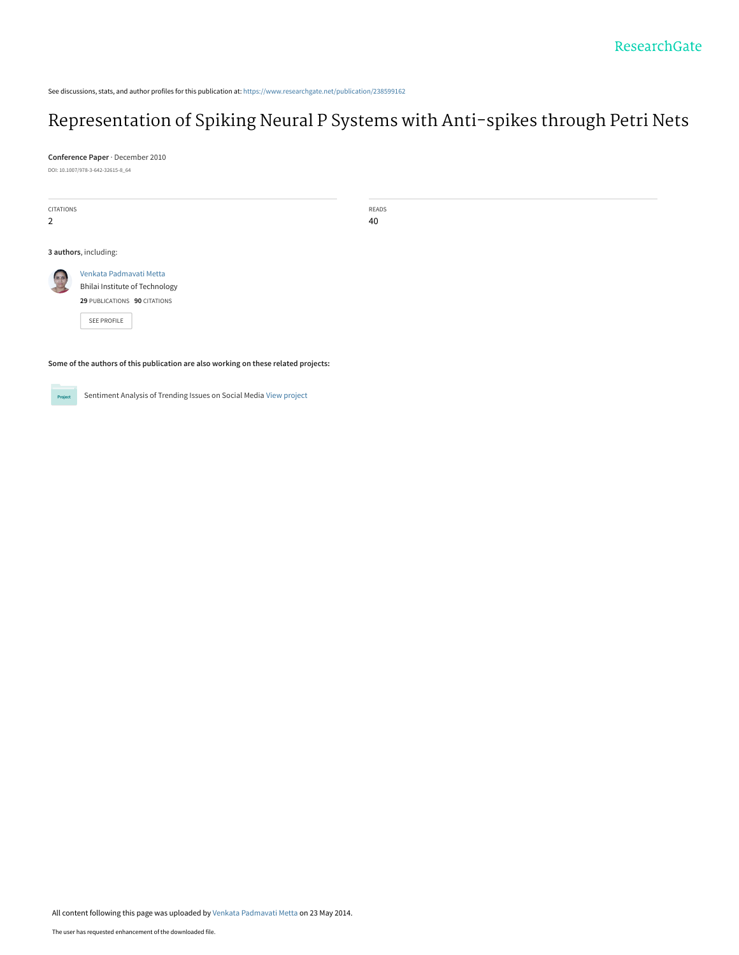See discussions, stats, and author profiles for this publication at: [https://www.researchgate.net/publication/238599162](https://www.researchgate.net/publication/238599162_Representation_of_Spiking_Neural_P_Systems_with_Anti-spikes_through_Petri_Nets?enrichId=rgreq-e7e38114ffe6aa434cc548fa829958b4-XXX&enrichSource=Y292ZXJQYWdlOzIzODU5OTE2MjtBUzo5OTg1MTMwMzkxNTUyOEAxNDAwODE3ODE0NDkw&el=1_x_2&_esc=publicationCoverPdf)

# [Representation of Spiking Neural P Systems with Anti-spikes through Petri Nets](https://www.researchgate.net/publication/238599162_Representation_of_Spiking_Neural_P_Systems_with_Anti-spikes_through_Petri_Nets?enrichId=rgreq-e7e38114ffe6aa434cc548fa829958b4-XXX&enrichSource=Y292ZXJQYWdlOzIzODU5OTE2MjtBUzo5OTg1MTMwMzkxNTUyOEAxNDAwODE3ODE0NDkw&el=1_x_3&_esc=publicationCoverPdf)

**Conference Paper** · December 2010

DOI: 10.1007/978-3-642-32615-8\_64

| <b>CITATIONS</b><br>2 |                                                                                                                 |  |  |  |  | <b>READS</b><br>40 |
|-----------------------|-----------------------------------------------------------------------------------------------------------------|--|--|--|--|--------------------|
| 3 authors, including: |                                                                                                                 |  |  |  |  |                    |
|                       | Venkata Padmavati Metta<br>Bhilai Institute of Technology<br>29 PUBLICATIONS 90 CITATIONS<br><b>SEE PROFILE</b> |  |  |  |  |                    |
|                       |                                                                                                                 |  |  |  |  |                    |

**Some of the authors of this publication are also working on these related projects:**

**Project** 

Sentiment Analysis of Trending Issues on Social Media [View project](https://www.researchgate.net/project/Sentiment-Analysis-of-Trending-Issues-on-Social-Media?enrichId=rgreq-e7e38114ffe6aa434cc548fa829958b4-XXX&enrichSource=Y292ZXJQYWdlOzIzODU5OTE2MjtBUzo5OTg1MTMwMzkxNTUyOEAxNDAwODE3ODE0NDkw&el=1_x_9&_esc=publicationCoverPdf)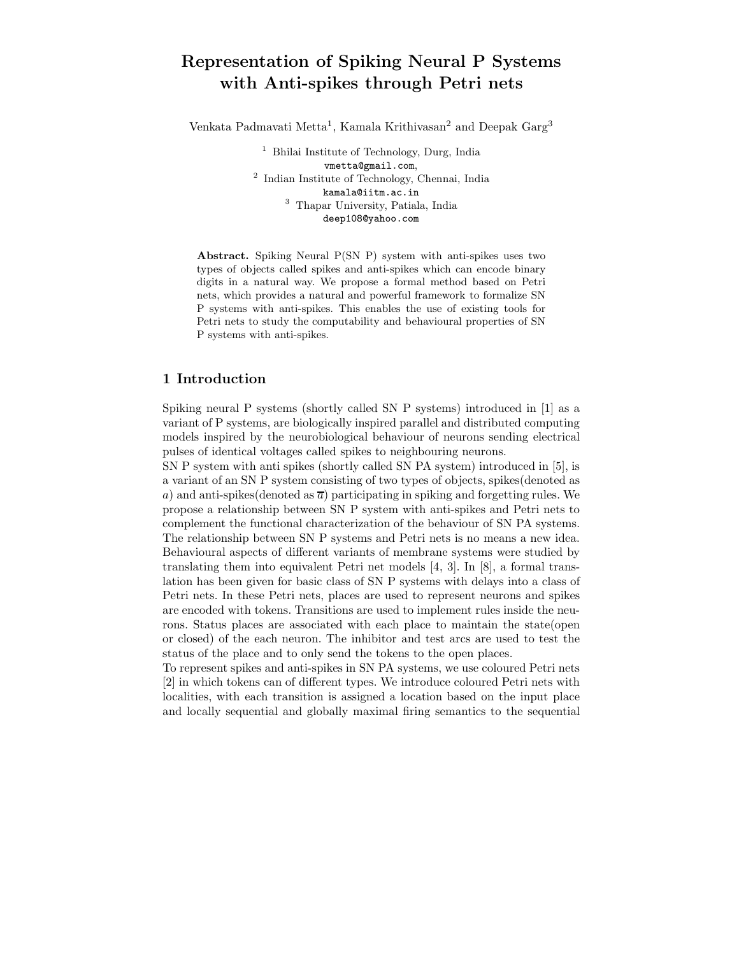# Representation of Spiking Neural P Systems with Anti-spikes through Petri nets

Venkata Padmavati Metta<sup>1</sup>, Kamala Krithivasan<sup>2</sup> and Deepak Garg<sup>3</sup>

<sup>1</sup> Bhilai Institute of Technology, Durg, India vmetta@gmail.com, 2 Indian Institute of Technology, Chennai, India kamala@iitm.ac.in <sup>3</sup> Thapar University, Patiala, India deep108@yahoo.com

Abstract. Spiking Neural P(SN P) system with anti-spikes uses two types of objects called spikes and anti-spikes which can encode binary digits in a natural way. We propose a formal method based on Petri nets, which provides a natural and powerful framework to formalize SN P systems with anti-spikes. This enables the use of existing tools for Petri nets to study the computability and behavioural properties of SN P systems with anti-spikes.

# 1 Introduction

Spiking neural P systems (shortly called SN P systems) introduced in [1] as a variant of P systems, are biologically inspired parallel and distributed computing models inspired by the neurobiological behaviour of neurons sending electrical pulses of identical voltages called spikes to neighbouring neurons.

SN P system with anti spikes (shortly called SN PA system) introduced in [5], is a variant of an SN P system consisting of two types of objects, spikes(denoted as a) and anti-spikes(denoted as  $\overline{a}$ ) participating in spiking and forgetting rules. We propose a relationship between SN P system with anti-spikes and Petri nets to complement the functional characterization of the behaviour of SN PA systems. The relationship between SN P systems and Petri nets is no means a new idea. Behavioural aspects of different variants of membrane systems were studied by translating them into equivalent Petri net models [4, 3]. In [8], a formal translation has been given for basic class of SN P systems with delays into a class of Petri nets. In these Petri nets, places are used to represent neurons and spikes are encoded with tokens. Transitions are used to implement rules inside the neurons. Status places are associated with each place to maintain the state(open or closed) of the each neuron. The inhibitor and test arcs are used to test the status of the place and to only send the tokens to the open places.

To represent spikes and anti-spikes in SN PA systems, we use coloured Petri nets [2] in which tokens can of different types. We introduce coloured Petri nets with localities, with each transition is assigned a location based on the input place and locally sequential and globally maximal firing semantics to the sequential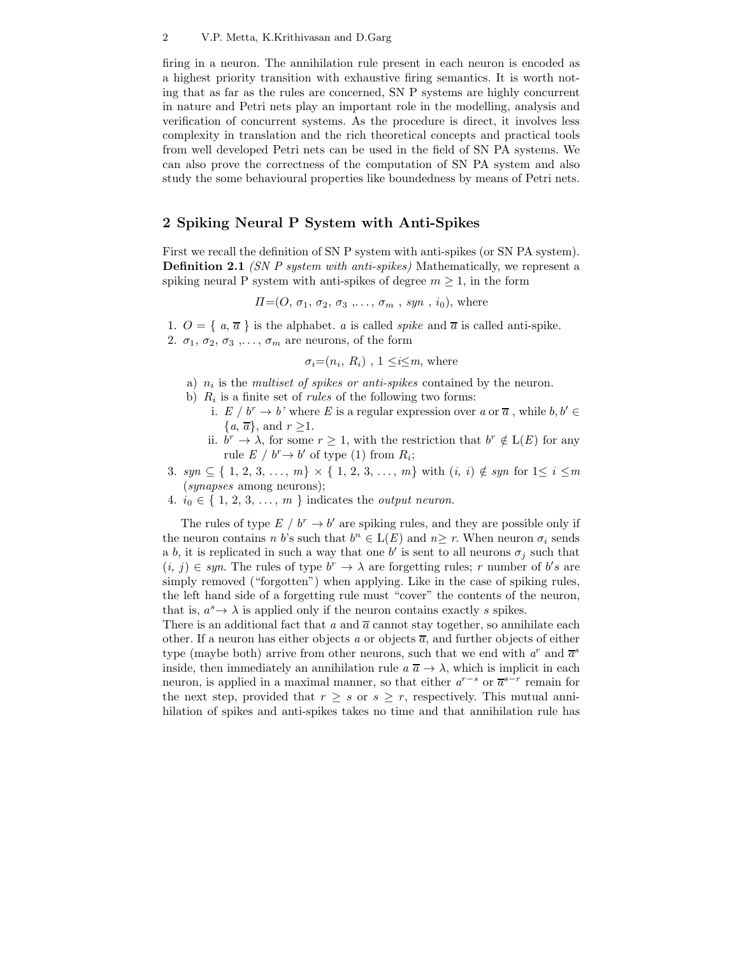firing in a neuron. The annihilation rule present in each neuron is encoded as a highest priority transition with exhaustive firing semantics. It is worth noting that as far as the rules are concerned, SN P systems are highly concurrent in nature and Petri nets play an important role in the modelling, analysis and verification of concurrent systems. As the procedure is direct, it involves less complexity in translation and the rich theoretical concepts and practical tools from well developed Petri nets can be used in the field of SN PA systems. We can also prove the correctness of the computation of SN PA system and also study the some behavioural properties like boundedness by means of Petri nets.

## 2 Spiking Neural P System with Anti-Spikes

First we recall the definition of SN P system with anti-spikes (or SN PA system). Definition 2.1 (SN P system with anti-spikes) Mathematically, we represent a spiking neural P system with anti-spikes of degree  $m \geq 1$ , in the form

$$
\Pi=(O, \sigma_1, \sigma_2, \sigma_3, \ldots, \sigma_m, \, syn \, , i_0), \,where
$$

1.  $O = \{a, \overline{a}\}\$ is the alphabet. a is called *spike* and  $\overline{a}$  is called anti-spike. 2.  $\sigma_1$ ,  $\sigma_2$ ,  $\sigma_3$ , ...,  $\sigma_m$  are neurons, of the form

$$
\sigma_i = (n_i, R_i), 1 \leq i \leq m
$$
, where

- a)  $n_i$  is the *multiset of spikes or anti-spikes* contained by the neuron.
- b)  $R_i$  is a finite set of *rules* of the following two forms:
	- i.  $E / b^r \rightarrow b'$  where E is a regular expression over a or  $\overline{a}$ , while  $b, b' \in$  $\{a, \overline{a}\}, \text{ and } r > 1.$
	- ii.  $b^r \to \lambda$ , for some  $r \geq 1$ , with the restriction that  $b^r \notin L(E)$  for any rule  $E / b^r \rightarrow b'$  of type (1) from  $R_i$ ;
- 3. syn  $\subseteq$  { 1, 2, 3, ..., m}  $\times$  { 1, 2, 3, ..., m} with  $(i, i) \notin syn$  for  $1 \le i \le m$ (synapses among neurons);
- 4.  $i_0 \in \{1, 2, 3, \ldots, m\}$  indicates the *output neuron*.

The rules of type  $E / b^r \rightarrow b'$  are spiking rules, and they are possible only if the neuron contains n b's such that  $b^n \in L(E)$  and  $n \geq r$ . When neuron  $\sigma_i$  sends a b, it is replicated in such a way that one b' is sent to all neurons  $\sigma_j$  such that  $(i, j) \in syn$ . The rules of type  $b^r \to \lambda$  are forgetting rules; r number of b's are simply removed ("forgotten") when applying. Like in the case of spiking rules, the left hand side of a forgetting rule must "cover" the contents of the neuron, that is,  $a^s \rightarrow \lambda$  is applied only if the neuron contains exactly s spikes.

There is an additional fact that a and  $\overline{a}$  cannot stay together, so annihilate each other. If a neuron has either objects a or objects  $\overline{a}$ , and further objects of either type (maybe both) arrive from other neurons, such that we end with  $a^r$  and  $\overline{a}^s$ inside, then immediately an annihilation rule  $a \overline{a} \rightarrow \lambda$ , which is implicit in each neuron, is applied in a maximal manner, so that either  $a^{r-s}$  or  $\overline{a}^{s-r}$  remain for the next step, provided that  $r \geq s$  or  $s \geq r$ , respectively. This mutual annihilation of spikes and anti-spikes takes no time and that annihilation rule has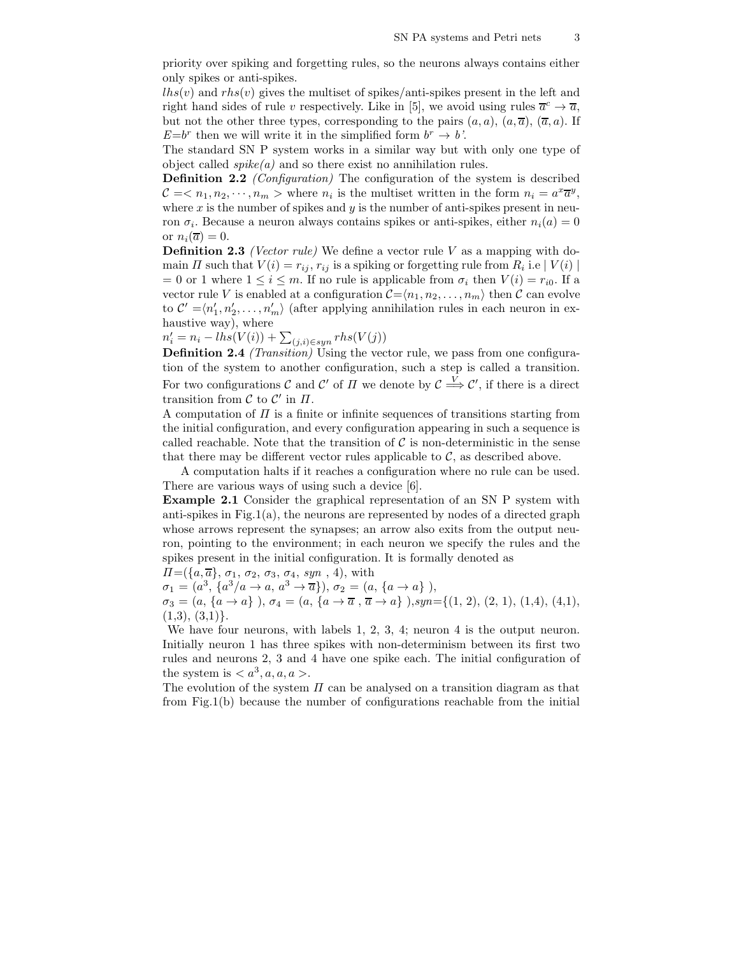priority over spiking and forgetting rules, so the neurons always contains either only spikes or anti-spikes.

 $\text{ }$ lhs(v) and  $\text{ }$ rhs(v) gives the multiset of spikes/anti-spikes present in the left and right hand sides of rule v respectively. Like in [5], we avoid using rules  $\overline{a}^c \to \overline{a}$ , but not the other three types, corresponding to the pairs  $(a, a)$ ,  $(a, \overline{a})$ ,  $(\overline{a}, a)$ . If  $E=b^r$  then we will write it in the simplified form  $b^r \rightarrow b'$ .

The standard SN P system works in a similar way but with only one type of object called  $spike(a)$  and so there exist no annihilation rules.

Definition 2.2 (Configuration) The configuration of the system is described  $C = \langle n_1, n_2, \cdots, n_m \rangle$  where  $n_i$  is the multiset written in the form  $n_i = a^x \overline{a}^y$ , where  $x$  is the number of spikes and  $y$  is the number of anti-spikes present in neuron  $\sigma_i$ . Because a neuron always contains spikes or anti-spikes, either  $n_i(a) = 0$ or  $n_i(\overline{a})=0$ .

**Definition 2.3** (Vector rule) We define a vector rule V as a mapping with domain  $\Pi$  such that  $V(i) = r_{ij}, r_{ij}$  is a spiking or forgetting rule from  $R_i$  i.e  $|V(i)|$ = 0 or 1 where  $1 \le i \le m$ . If no rule is applicable from  $\sigma_i$  then  $V(i) = r_{i0}$ . If a vector rule V is enabled at a configuration  $\mathcal{C}=\langle n_1, n_2, \ldots, n_m \rangle$  then C can evolve to  $\mathcal{C}' = \langle n'_1, n'_2, \ldots, n'_m \rangle$  (after applying annihilation rules in each neuron in exhaustive way), where

 $n'_{i} = n_{i} - lhs(V(i)) + \sum_{(j,i) \in syn} rhs(V(j))$ 

Definition 2.4 *(Transition)* Using the vector rule, we pass from one configuration of the system to another configuration, such a step is called a transition. For two configurations C and C' of  $\Pi$  we denote by  $\mathcal{C} \stackrel{V}{\Longrightarrow} \mathcal{C}'$ , if there is a direct transition from  $\mathcal C$  to  $\mathcal C'$  in  $\Pi$ .

A computation of  $\Pi$  is a finite or infinite sequences of transitions starting from the initial configuration, and every configuration appearing in such a sequence is called reachable. Note that the transition of  $\mathcal C$  is non-deterministic in the sense that there may be different vector rules applicable to  $C$ , as described above.

A computation halts if it reaches a configuration where no rule can be used. There are various ways of using such a device [6].

Example 2.1 Consider the graphical representation of an SN P system with anti-spikes in Fig.1(a), the neurons are represented by nodes of a directed graph whose arrows represent the synapses; an arrow also exits from the output neuron, pointing to the environment; in each neuron we specify the rules and the spikes present in the initial configuration. It is formally denoted as

 $\Pi = (\{a,\overline{a}\}, \sigma_1, \sigma_2, \sigma_3, \sigma_4, syn, 4)$ , with  $\sigma_1 = (a^3, \{a^3/a \to a, a^3 \to \overline{a}\}), \sigma_2 = (a, \{a \to a\}),$  $\sigma_3 = (a, \{a \to a\})$ ,  $\sigma_4 = (a, \{a \to \overline{a}, \overline{a} \to a\})$ ,  $syn = \{(1, 2), (2, 1), (1, 4), (4, 1),$  $(1,3), (3,1)$ .

We have four neurons, with labels 1, 2, 3, 4; neuron 4 is the output neuron. Initially neuron 1 has three spikes with non-determinism between its first two rules and neurons 2, 3 and 4 have one spike each. The initial configuration of the system is  $\langle a^3, a, a, a \rangle$ .

The evolution of the system  $\Pi$  can be analysed on a transition diagram as that from Fig.1(b) because the number of configurations reachable from the initial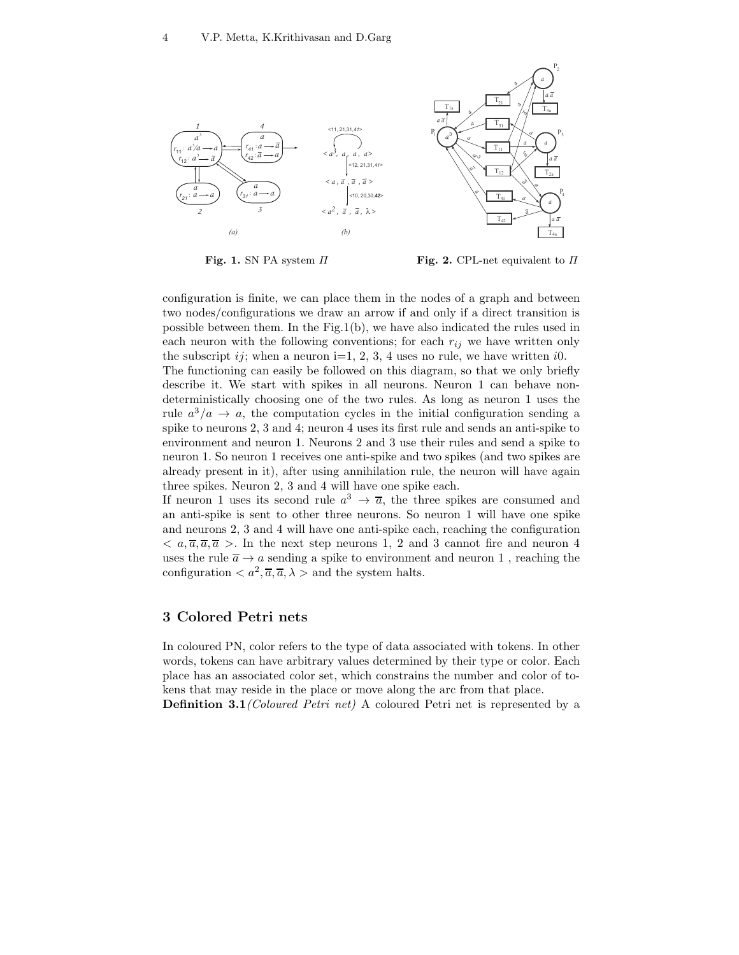

Fig. 1. SN PA system  $\Pi$ 

Fig. 2. CPL-net equivalent to  $\Pi$ 

configuration is finite, we can place them in the nodes of a graph and between two nodes/configurations we draw an arrow if and only if a direct transition is possible between them. In the Fig.1(b), we have also indicated the rules used in each neuron with the following conventions; for each  $r_{ij}$  we have written only the subscript ij; when a neuron i=1, 2, 3, 4 uses no rule, we have written i0.

The functioning can easily be followed on this diagram, so that we only briefly describe it. We start with spikes in all neurons. Neuron 1 can behave nondeterministically choosing one of the two rules. As long as neuron 1 uses the rule  $a^3/a \rightarrow a$ , the computation cycles in the initial configuration sending a spike to neurons 2, 3 and 4; neuron 4 uses its first rule and sends an anti-spike to environment and neuron 1. Neurons 2 and 3 use their rules and send a spike to neuron 1. So neuron 1 receives one anti-spike and two spikes (and two spikes are already present in it), after using annihilation rule, the neuron will have again three spikes. Neuron 2, 3 and 4 will have one spike each.

If neuron 1 uses its second rule  $a^3 \to \overline{a}$ , the three spikes are consumed and an anti-spike is sent to other three neurons. So neuron 1 will have one spike and neurons 2, 3 and 4 will have one anti-spike each, reaching the configuration  $\langle a, \overline{a}, \overline{a}, \overline{a} \rangle$ . In the next step neurons 1, 2 and 3 cannot fire and neuron 4 uses the rule  $\overline{a} \rightarrow a$  sending a spike to environment and neuron 1, reaching the configuration  $\langle a^2, \overline{a}, \overline{a}, \lambda \rangle$  and the system halts.

# 3 Colored Petri nets

In coloured PN, color refers to the type of data associated with tokens. In other words, tokens can have arbitrary values determined by their type or color. Each place has an associated color set, which constrains the number and color of tokens that may reside in the place or move along the arc from that place.

Definition 3.1(Coloured Petri net) A coloured Petri net is represented by a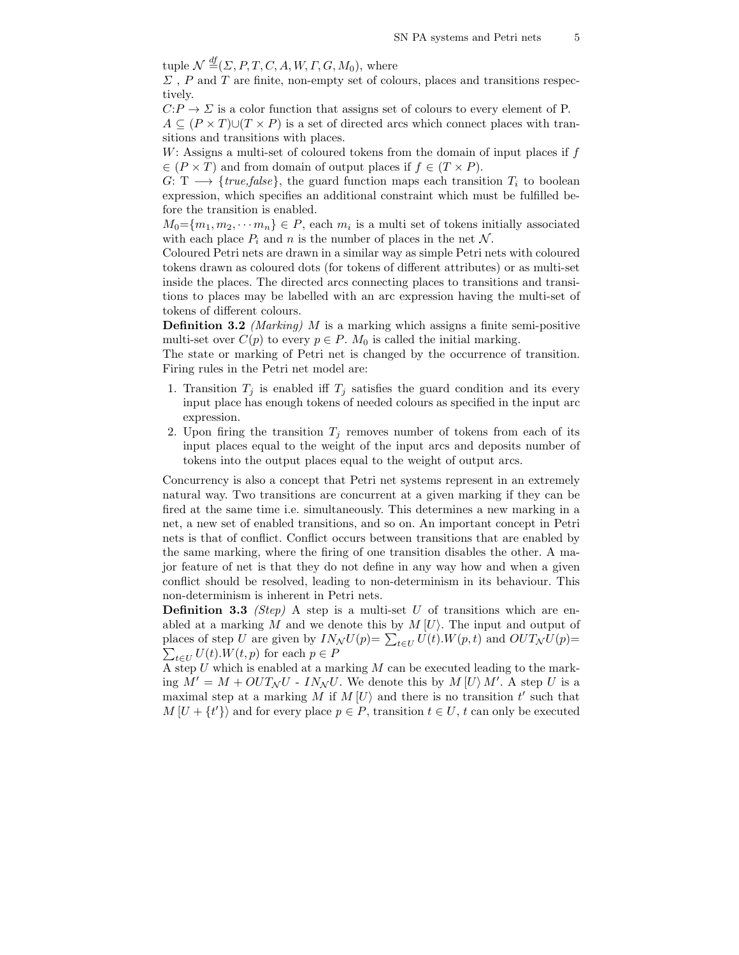tuple  $\mathcal{N} \stackrel{\mathrm{df}}{=} (\Sigma, P, T, C, A, W, \Gamma, G, M_0)$ , where

 $\Sigma$ , P and T are finite, non-empty set of colours, places and transitions respectively.

 $C: P \to \Sigma$  is a color function that assigns set of colours to every element of P.  $A \subseteq (P \times T) \cup (T \times P)$  is a set of directed arcs which connect places with transitions and transitions with places.

 $W$ : Assigns a multi-set of coloured tokens from the domain of input places if  $f$  $\in (P \times T)$  and from domain of output places if  $f \in (T \times P)$ .

 $G: T \longrightarrow \{true, false\}$ , the guard function maps each transition  $T_i$  to boolean expression, which specifies an additional constraint which must be fulfilled before the transition is enabled.

 $M_0 = \{m_1, m_2, \cdots m_n\} \in P$ , each  $m_i$  is a multi set of tokens initially associated with each place  $P_i$  and n is the number of places in the net N.

Coloured Petri nets are drawn in a similar way as simple Petri nets with coloured tokens drawn as coloured dots (for tokens of different attributes) or as multi-set inside the places. The directed arcs connecting places to transitions and transitions to places may be labelled with an arc expression having the multi-set of tokens of different colours.

**Definition 3.2** (*Marking*)  $M$  is a marking which assigns a finite semi-positive multi-set over  $C(p)$  to every  $p \in P$ .  $M_0$  is called the initial marking.

The state or marking of Petri net is changed by the occurrence of transition. Firing rules in the Petri net model are:

- 1. Transition  $T_j$  is enabled iff  $T_j$  satisfies the guard condition and its every input place has enough tokens of needed colours as specified in the input arc expression.
- 2. Upon firing the transition  $T_i$  removes number of tokens from each of its input places equal to the weight of the input arcs and deposits number of tokens into the output places equal to the weight of output arcs.

Concurrency is also a concept that Petri net systems represent in an extremely natural way. Two transitions are concurrent at a given marking if they can be fired at the same time i.e. simultaneously. This determines a new marking in a net, a new set of enabled transitions, and so on. An important concept in Petri nets is that of conflict. Conflict occurs between transitions that are enabled by the same marking, where the firing of one transition disables the other. A major feature of net is that they do not define in any way how and when a given conflict should be resolved, leading to non-determinism in its behaviour. This non-determinism is inherent in Petri nets.

**Definition 3.3** (Step) A step is a multi-set U of transitions which are enabled at a marking M and we denote this by  $M(U)$ . The input and output of places of step U are given by  $IN_{\mathcal{N}}U(p) = \sum_{t \in U} U(t) \cdot W(p, t)$  and  $OUT_{\mathcal{N}}U(p) = \sum_{t \in U} U(t) \cdot W(t, p)$  for each  $p \in P$  $\sum_{t\in U} U(t) . W(t, p)$  for each  $p \in P$ 

A step  $U$  which is enabled at a marking  $M$  can be executed leading to the marking  $\tilde{M}' = M + OUT_NU - IN_NU$ . We denote this by  $M[U\rangle M'$ . A step U is a maximal step at a marking M if  $M[U\rangle$  and there is no transition t' such that  $M[U + \{t'\}]$  and for every place  $p \in P$ , transition  $t \in U$ , t can only be executed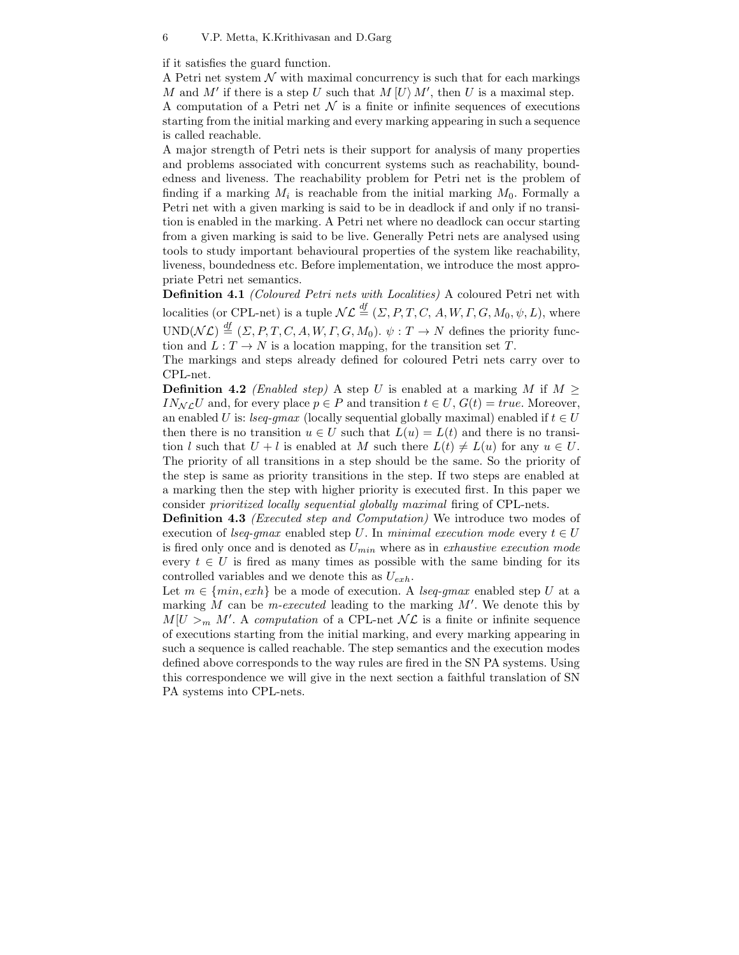if it satisfies the guard function.

A Petri net system  $\mathcal N$  with maximal concurrency is such that for each markings M and M' if there is a step U such that  $M[U\rangle M'$ , then U is a maximal step. A computation of a Petri net  $\mathcal N$  is a finite or infinite sequences of executions starting from the initial marking and every marking appearing in such a sequence

is called reachable. A major strength of Petri nets is their support for analysis of many properties and problems associated with concurrent systems such as reachability, boundedness and liveness. The reachability problem for Petri net is the problem of finding if a marking  $M_i$  is reachable from the initial marking  $M_0$ . Formally a Petri net with a given marking is said to be in deadlock if and only if no transition is enabled in the marking. A Petri net where no deadlock can occur starting from a given marking is said to be live. Generally Petri nets are analysed using tools to study important behavioural properties of the system like reachability, liveness, boundedness etc. Before implementation, we introduce the most appropriate Petri net semantics.

Definition 4.1 (Coloured Petri nets with Localities) A coloured Petri net with localities (or CPL-net) is a tuple  $\mathcal{NL} \stackrel{df}{=} (\Sigma, P, T, C, A, W, \Gamma, G, M_0, \psi, L)$ , where  $\text{UND}(\mathcal{NL}) \stackrel{df}{=} (\Sigma, P, T, C, A, W, \Gamma, G, M_0). \psi: T \to N$  defines the priority function and  $L: T \to N$  is a location mapping, for the transition set T.

The markings and steps already defined for coloured Petri nets carry over to CPL-net.

**Definition 4.2** (Enabled step) A step U is enabled at a marking M if  $M \geq$  $IN_{N, \mathcal{L}} U$  and, for every place  $p \in P$  and transition  $t \in U$ ,  $G(t) = true$ . Moreover, an enabled U is: lseq-gmax (locally sequential globally maximal) enabled if  $t \in U$ then there is no transition  $u \in U$  such that  $L(u) = L(t)$  and there is no transition l such that  $U + l$  is enabled at M such there  $L(t) \neq L(u)$  for any  $u \in U$ . The priority of all transitions in a step should be the same. So the priority of the step is same as priority transitions in the step. If two steps are enabled at a marking then the step with higher priority is executed first. In this paper we consider prioritized locally sequential globally maximal firing of CPL-nets.

Definition 4.3 (Executed step and Computation) We introduce two modes of execution of lseq-gmax enabled step U. In minimal execution mode every  $t \in U$ is fired only once and is denoted as  $U_{min}$  where as in *exhaustive execution mode* every  $t \in U$  is fired as many times as possible with the same binding for its controlled variables and we denote this as  $U_{exh}$ .

Let  $m \in \{min, \text{ex}h\}$  be a mode of execution. A lseq-gmax enabled step U at a marking  $\tilde{M}$  can be m-executed leading to the marking  $M'$ . We denote this by  $M[U] >_m M'$ . A computation of a CPL-net  $\mathcal{NL}$  is a finite or infinite sequence of executions starting from the initial marking, and every marking appearing in such a sequence is called reachable. The step semantics and the execution modes defined above corresponds to the way rules are fired in the SN PA systems. Using this correspondence we will give in the next section a faithful translation of SN PA systems into CPL-nets.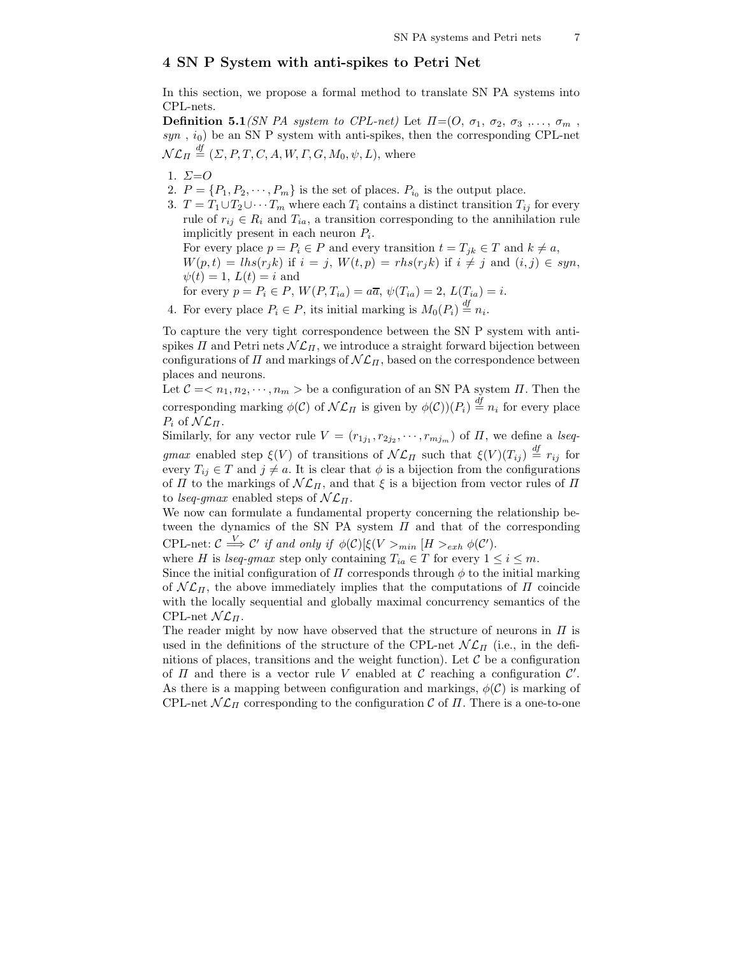## 4 SN P System with anti-spikes to Petri Net

In this section, we propose a formal method to translate SN PA systems into CPL-nets.

**Definition 5.1**(SN PA system to CPL-net) Let  $\Pi = (O, \sigma_1, \sigma_2, \sigma_3, \ldots, \sigma_m,$  $syn$ ,  $i_0$ ) be an SN P system with anti-spikes, then the corresponding CPL-net  $\mathcal{NL}_\Pi \stackrel{\mathrm{df}}{=} (\Sigma, P, T, C, A, W, \Gamma, G, M_0, \psi, L)$ , where

- 1.  $\Sigma = O$
- 2.  $P = \{P_1, P_2, \dots, P_m\}$  is the set of places.  $P_{i_0}$  is the output place.
- 3.  $T = T_1 \cup T_2 \cup \cdots T_m$  where each  $T_i$  contains a distinct transition  $T_{ij}$  for every rule of  $r_{ij} \in R_i$  and  $T_{ia}$ , a transition corresponding to the annihilation rule implicitly present in each neuron  $P_i$ .

For every place  $p = P_i \in P$  and every transition  $t = T_{ik} \in T$  and  $k \neq a$ ,  $W(p,t) = lhs(r_jk)$  if  $i = j$ ,  $W(t, p) = rhs(r_jk)$  if  $i \neq j$  and  $(i, j) \in syn$ ,  $\psi(t) = 1, L(t) = i$  and

- for every  $p = P_i \in P$ ,  $W(P, T_{ia}) = a\overline{a}$ ,  $\psi(T_{ia}) = 2$ ,  $L(T_{ia}) = i$ .
- 4. For every place  $P_i \in P$ , its initial marking is  $M_0(P_i) \stackrel{df}{=} n_i$ .

To capture the very tight correspondence between the SN P system with antispikes  $\Pi$  and Petri nets  $\mathcal{NL}_\Pi$ , we introduce a straight forward bijection between configurations of  $\Pi$  and markings of  $\mathcal{NL}_\Pi$ , based on the correspondence between places and neurons.

Let  $\mathcal{C} = \langle n_1, n_2, \cdots, n_m \rangle$  be a configuration of an SN PA system  $\Pi$ . Then the corresponding marking  $\phi(C)$  of  $\mathcal{NL}_\Pi$  is given by  $\phi(C)(P_i) \stackrel{df}{=} n_i$  for every place  $P_i$  of  $\mathcal{NL}_\Pi$ .

Similarly, for any vector rule  $V = (r_{1j_1}, r_{2j_2}, \dots, r_{mj_m})$  of  $\Pi$ , we define a lseqgmax enabled step  $\xi(V)$  of transitions of  $\mathcal{NL}_\Pi$  such that  $\xi(V)(T_{ij}) \stackrel{df}{=} r_{ij}$  for every  $T_{ij} \in T$  and  $j \neq a$ . It is clear that  $\phi$  is a bijection from the configurations of  $\Pi$  to the markings of  $\mathcal{NL}_\Pi$ , and that  $\xi$  is a bijection from vector rules of  $\Pi$ to lseq-gmax enabled steps of  $\mathcal{NL}_\Pi$ .

We now can formulate a fundamental property concerning the relationship between the dynamics of the SN PA system  $\Pi$  and that of the corresponding CPL-net:  $C \stackrel{V}{\Longrightarrow} C'$  if and only if  $\phi(C)[\xi(V >_{min} [H >_{exh} \phi(C')).$ 

where H is lseq-gmax step only containing  $T_{ia} \in T$  for every  $1 \leq i \leq m$ .

Since the initial configuration of  $\Pi$  corresponds through  $\phi$  to the initial marking of  $N\mathcal{L}_\Pi$ , the above immediately implies that the computations of  $\Pi$  coincide with the locally sequential and globally maximal concurrency semantics of the CPL-net  $\mathcal{NL}_\Pi$ .

The reader might by now have observed that the structure of neurons in  $\Pi$  is used in the definitions of the structure of the CPL-net  $N\mathcal{L}_{\Pi}$  (i.e., in the definitions of places, transitions and the weight function). Let  $\mathcal C$  be a configuration of  $\Pi$  and there is a vector rule V enabled at C reaching a configuration  $\mathcal{C}'$ . As there is a mapping between configuration and markings,  $\phi(\mathcal{C})$  is marking of CPL-net  $N\mathcal{L}_\Pi$  corresponding to the configuration C of  $\Pi$ . There is a one-to-one